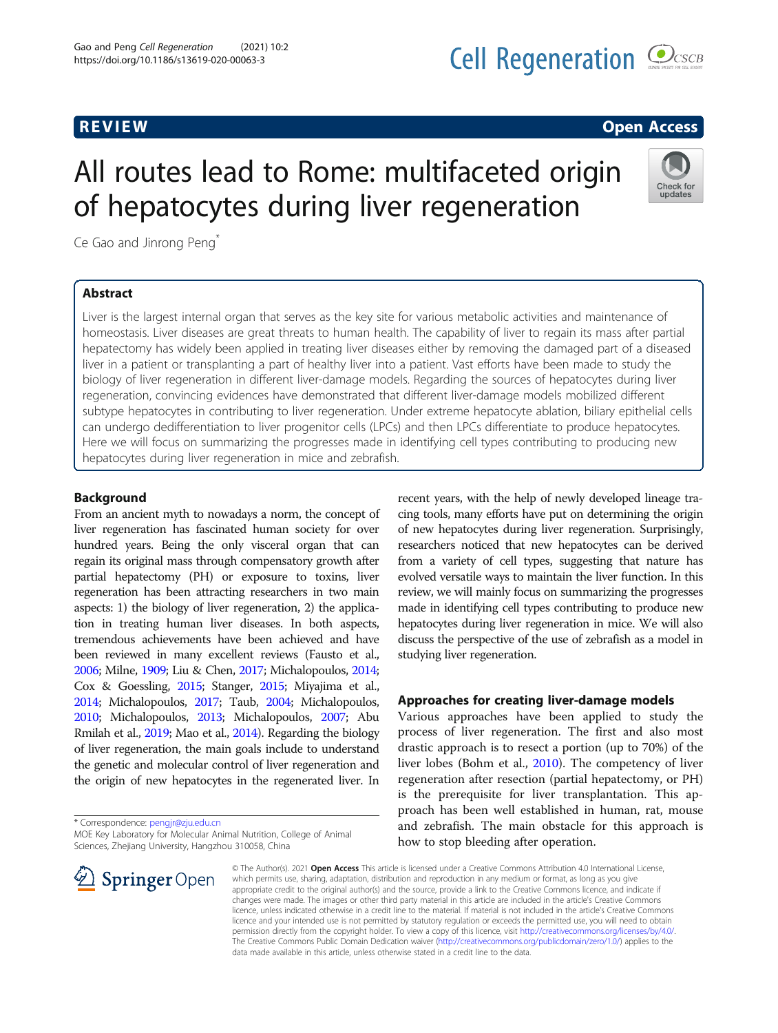# All routes lead to Rome: multifaceted origin

Ce Gao and Jinrong Peng<sup>\*</sup>

# Abstract

Liver is the largest internal organ that serves as the key site for various metabolic activities and maintenance of homeostasis. Liver diseases are great threats to human health. The capability of liver to regain its mass after partial hepatectomy has widely been applied in treating liver diseases either by removing the damaged part of a diseased liver in a patient or transplanting a part of healthy liver into a patient. Vast efforts have been made to study the biology of liver regeneration in different liver-damage models. Regarding the sources of hepatocytes during liver regeneration, convincing evidences have demonstrated that different liver-damage models mobilized different subtype hepatocytes in contributing to liver regeneration. Under extreme hepatocyte ablation, biliary epithelial cells can undergo dedifferentiation to liver progenitor cells (LPCs) and then LPCs differentiate to produce hepatocytes. Here we will focus on summarizing the progresses made in identifying cell types contributing to producing new hepatocytes during liver regeneration in mice and zebrafish.

of hepatocytes during liver regeneration

#### Background

From an ancient myth to nowadays a norm, the concept of liver regeneration has fascinated human society for over hundred years. Being the only visceral organ that can regain its original mass through compensatory growth after partial hepatectomy (PH) or exposure to toxins, liver regeneration has been attracting researchers in two main aspects: 1) the biology of liver regeneration, 2) the application in treating human liver diseases. In both aspects, tremendous achievements have been achieved and have been reviewed in many excellent reviews (Fausto et al., [2006;](#page-8-0) Milne, [1909](#page-8-0); Liu & Chen, [2017;](#page-8-0) Michalopoulos, [2014](#page-8-0); Cox & Goessling, [2015;](#page-7-0) Stanger, [2015;](#page-9-0) Miyajima et al., [2014;](#page-8-0) Michalopoulos, [2017;](#page-8-0) Taub, [2004;](#page-9-0) Michalopoulos, [2010;](#page-8-0) Michalopoulos, [2013](#page-8-0); Michalopoulos, [2007;](#page-8-0) Abu Rmilah et al., [2019](#page-7-0); Mao et al., [2014](#page-8-0)). Regarding the biology of liver regeneration, the main goals include to understand the genetic and molecular control of liver regeneration and the origin of new hepatocytes in the regenerated liver. In

\* Correspondence: [pengjr@zju.edu.cn](mailto:pengjr@zju.edu.cn)

MOE Key Laboratory for Molecular Animal Nutrition, College of Animal



recent years, with the help of newly developed lineage tracing tools, many efforts have put on determining the origin of new hepatocytes during liver regeneration. Surprisingly, researchers noticed that new hepatocytes can be derived from a variety of cell types, suggesting that nature has evolved versatile ways to maintain the liver function. In this review, we will mainly focus on summarizing the progresses made in identifying cell types contributing to produce new hepatocytes during liver regeneration in mice. We will also discuss the perspective of the use of zebrafish as a model in studying liver regeneration.

#### Approaches for creating liver-damage models

Various approaches have been applied to study the process of liver regeneration. The first and also most drastic approach is to resect a portion (up to 70%) of the liver lobes (Bohm et al., [2010\)](#page-7-0). The competency of liver regeneration after resection (partial hepatectomy, or PH) is the prerequisite for liver transplantation. This approach has been well established in human, rat, mouse and zebrafish. The main obstacle for this approach is how to stop bleeding after operation.

© The Author(s). 2021 Open Access This article is licensed under a Creative Commons Attribution 4.0 International License, which permits use, sharing, adaptation, distribution and reproduction in any medium or format, as long as you give appropriate credit to the original author(s) and the source, provide a link to the Creative Commons licence, and indicate if changes were made. The images or other third party material in this article are included in the article's Creative Commons licence, unless indicated otherwise in a credit line to the material. If material is not included in the article's Creative Commons licence and your intended use is not permitted by statutory regulation or exceeds the permitted use, you will need to obtain permission directly from the copyright holder. To view a copy of this licence, visit <http://creativecommons.org/licenses/by/4.0/>. The Creative Commons Public Domain Dedication waiver ([http://creativecommons.org/publicdomain/zero/1.0/\)](http://creativecommons.org/publicdomain/zero/1.0/) applies to the data made available in this article, unless otherwise stated in a credit line to the data.



Check for undates

# **REVIEW ACCESS REVIEW CONSUMING THE CONSUMING TENS**

Sciences, Zhejiang University, Hangzhou 310058, China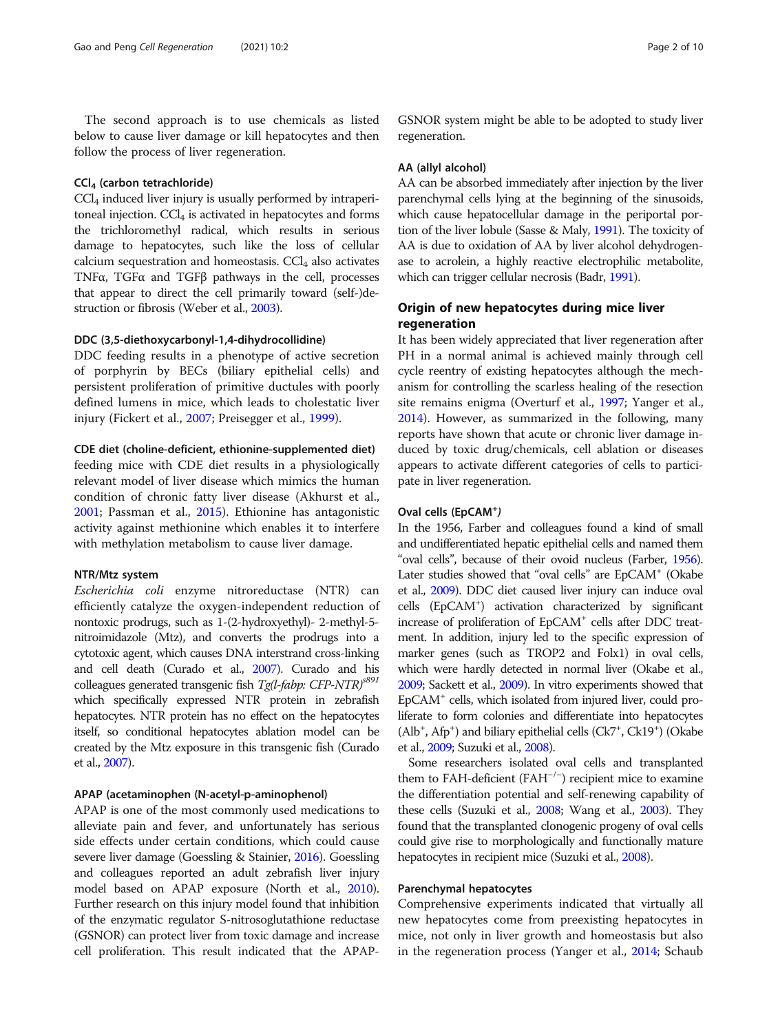The second approach is to use chemicals as listed below to cause liver damage or kill hepatocytes and then follow the process of liver regeneration.

#### CCl4 (carbon tetrachloride)

 $CCl<sub>4</sub>$  induced liver injury is usually performed by intraperitoneal injection.  $CCl<sub>4</sub>$  is activated in hepatocytes and forms the trichloromethyl radical, which results in serious damage to hepatocytes, such like the loss of cellular calcium sequestration and homeostasis.  $CCl<sub>4</sub>$  also activates TNFα, TGFα and TGFβ pathways in the cell, processes that appear to direct the cell primarily toward (self-)destruction or fibrosis (Weber et al., [2003](#page-9-0)).

#### DDC (3,5-diethoxycarbonyl-1,4-dihydrocollidine)

DDC feeding results in a phenotype of active secretion of porphyrin by BECs (biliary epithelial cells) and persistent proliferation of primitive ductules with poorly defined lumens in mice, which leads to cholestatic liver injury (Fickert et al., [2007](#page-8-0); Preisegger et al., [1999](#page-8-0)).

#### CDE diet (choline-deficient, ethionine-supplemented diet)

feeding mice with CDE diet results in a physiologically relevant model of liver disease which mimics the human condition of chronic fatty liver disease (Akhurst et al., [2001](#page-7-0); Passman et al., [2015\)](#page-8-0). Ethionine has antagonistic activity against methionine which enables it to interfere with methylation metabolism to cause liver damage.

#### NTR/Mtz system

Escherichia coli enzyme nitroreductase (NTR) can efficiently catalyze the oxygen-independent reduction of nontoxic prodrugs, such as 1-(2-hydroxyethyl)- 2-methyl-5 nitroimidazole (Mtz), and converts the prodrugs into a cytotoxic agent, which causes DNA interstrand cross-linking and cell death (Curado et al., [2007\)](#page-7-0). Curado and his colleagues generated transgenic fish Tg(l-fabp: CFP-NTR)<sup>891</sup> which specifically expressed NTR protein in zebrafish hepatocytes. NTR protein has no effect on the hepatocytes itself, so conditional hepatocytes ablation model can be created by the Mtz exposure in this transgenic fish (Curado et al., [2007\)](#page-7-0).

#### APAP (acetaminophen (N-acetyl-p-aminophenol)

APAP is one of the most commonly used medications to alleviate pain and fever, and unfortunately has serious side effects under certain conditions, which could cause severe liver damage (Goessling & Stainier, [2016](#page-8-0)). Goessling and colleagues reported an adult zebrafish liver injury model based on APAP exposure (North et al., [2010](#page-8-0)). Further research on this injury model found that inhibition of the enzymatic regulator S-nitrosoglutathione reductase (GSNOR) can protect liver from toxic damage and increase cell proliferation. This result indicated that the APAP- GSNOR system might be able to be adopted to study liver regeneration.

#### AA (allyl alcohol)

AA can be absorbed immediately after injection by the liver parenchymal cells lying at the beginning of the sinusoids, which cause hepatocellular damage in the periportal portion of the liver lobule (Sasse & Maly, [1991](#page-8-0)). The toxicity of AA is due to oxidation of AA by liver alcohol dehydrogenase to acrolein, a highly reactive electrophilic metabolite, which can trigger cellular necrosis (Badr, [1991](#page-7-0)).

#### Origin of new hepatocytes during mice liver regeneration

It has been widely appreciated that liver regeneration after PH in a normal animal is achieved mainly through cell cycle reentry of existing hepatocytes although the mechanism for controlling the scarless healing of the resection site remains enigma (Overturf et al., [1997](#page-8-0); Yanger et al., [2014\)](#page-9-0). However, as summarized in the following, many reports have shown that acute or chronic liver damage induced by toxic drug/chemicals, cell ablation or diseases appears to activate different categories of cells to participate in liver regeneration.

## Oval cells (EpCAM<sup>+</sup>)

In the 1956, Farber and colleagues found a kind of small and undifferentiated hepatic epithelial cells and named them "oval cells", because of their ovoid nucleus (Farber, [1956](#page-8-0)). Later studies showed that "oval cells" are EpCAM<sup>+</sup> (Okabe et al., [2009](#page-8-0)). DDC diet caused liver injury can induce oval cells (EpCAM+ ) activation characterized by significant increase of proliferation of EpCAM<sup>+</sup> cells after DDC treatment. In addition, injury led to the specific expression of marker genes (such as TROP2 and Folx1) in oval cells, which were hardly detected in normal liver (Okabe et al., [2009](#page-8-0); Sackett et al., [2009\)](#page-8-0). In vitro experiments showed that EpCAM+ cells, which isolated from injured liver, could proliferate to form colonies and differentiate into hepatocytes (Alb<sup>+</sup>, Afp<sup>+</sup>) and biliary epithelial cells (Ck7<sup>+</sup>, Ck19<sup>+</sup>) (Okabe et al., [2009;](#page-8-0) Suzuki et al., [2008](#page-9-0)).

Some researchers isolated oval cells and transplanted them to FAH-deficient (FAH−/<sup>−</sup> ) recipient mice to examine the differentiation potential and self-renewing capability of these cells (Suzuki et al., [2008](#page-9-0); Wang et al., [2003](#page-9-0)). They found that the transplanted clonogenic progeny of oval cells could give rise to morphologically and functionally mature hepatocytes in recipient mice (Suzuki et al., [2008](#page-9-0)).

#### Parenchymal hepatocytes

Comprehensive experiments indicated that virtually all new hepatocytes come from preexisting hepatocytes in mice, not only in liver growth and homeostasis but also in the regeneration process (Yanger et al., [2014](#page-9-0); Schaub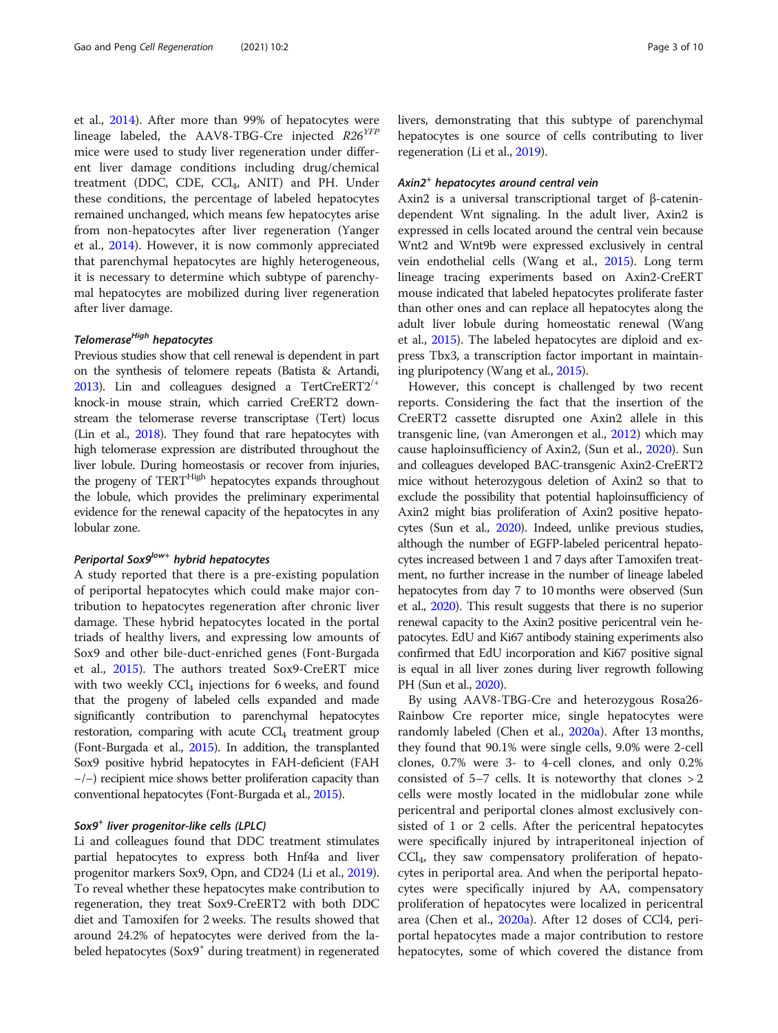et al., [2014\)](#page-8-0). After more than 99% of hepatocytes were lineage labeled, the AAV8-TBG-Cre injected  $R26^{YFP}$ mice were used to study liver regeneration under different liver damage conditions including drug/chemical treatment (DDC, CDE,  $CCl_4$ , ANIT) and PH. Under these conditions, the percentage of labeled hepatocytes remained unchanged, which means few hepatocytes arise from non-hepatocytes after liver regeneration (Yanger et al., [2014](#page-9-0)). However, it is now commonly appreciated that parenchymal hepatocytes are highly heterogeneous, it is necessary to determine which subtype of parenchymal hepatocytes are mobilized during liver regeneration after liver damage.

#### Telomerase<sup>High</sup> hepatocytes

Previous studies show that cell renewal is dependent in part on the synthesis of telomere repeats (Batista & Artandi, [2013\)](#page-7-0). Lin and colleagues designed a TertCreERT2/+ knock-in mouse strain, which carried CreERT2 downstream the telomerase reverse transcriptase (Tert) locus (Lin et al., [2018](#page-8-0)). They found that rare hepatocytes with high telomerase expression are distributed throughout the liver lobule. During homeostasis or recover from injuries, the progeny of TERT<sup>High</sup> hepatocytes expands throughout the lobule, which provides the preliminary experimental evidence for the renewal capacity of the hepatocytes in any lobular zone.

#### Periportal Sox9<sup>low+</sup> hybrid hepatocytes

A study reported that there is a pre-existing population of periportal hepatocytes which could make major contribution to hepatocytes regeneration after chronic liver damage. These hybrid hepatocytes located in the portal triads of healthy livers, and expressing low amounts of Sox9 and other bile-duct-enriched genes (Font-Burgada et al., [2015](#page-8-0)). The authors treated Sox9-CreERT mice with two weekly  $\text{CCl}_4$  injections for 6 weeks, and found that the progeny of labeled cells expanded and made significantly contribution to parenchymal hepatocytes restoration, comparing with acute  $CCl<sub>4</sub>$  treatment group (Font-Burgada et al., [2015\)](#page-8-0). In addition, the transplanted Sox9 positive hybrid hepatocytes in FAH-deficient (FAH −/−) recipient mice shows better proliferation capacity than conventional hepatocytes (Font-Burgada et al., [2015\)](#page-8-0).

#### Sox9<sup>+</sup> liver progenitor-like cells (LPLC)

Li and colleagues found that DDC treatment stimulates partial hepatocytes to express both Hnf4a and liver progenitor markers Sox9, Opn, and CD24 (Li et al., [2019](#page-8-0)). To reveal whether these hepatocytes make contribution to regeneration, they treat Sox9-CreERT2 with both DDC diet and Tamoxifen for 2 weeks. The results showed that around 24.2% of hepatocytes were derived from the labeled hepatocytes (Sox9<sup>+</sup> during treatment) in regenerated livers, demonstrating that this subtype of parenchymal hepatocytes is one source of cells contributing to liver regeneration (Li et al., [2019](#page-8-0)).

#### Axin2<sup>+</sup> hepatocytes around central vein

Axin2 is a universal transcriptional target of β-catenindependent Wnt signaling. In the adult liver, Axin2 is expressed in cells located around the central vein because Wnt2 and Wnt9b were expressed exclusively in central vein endothelial cells (Wang et al., [2015](#page-9-0)). Long term lineage tracing experiments based on Axin2-CreERT mouse indicated that labeled hepatocytes proliferate faster than other ones and can replace all hepatocytes along the adult liver lobule during homeostatic renewal (Wang et al., [2015\)](#page-9-0). The labeled hepatocytes are diploid and express Tbx3, a transcription factor important in maintaining pluripotency (Wang et al., [2015](#page-9-0)).

However, this concept is challenged by two recent reports. Considering the fact that the insertion of the CreERT2 cassette disrupted one Axin2 allele in this transgenic line, (van Amerongen et al., [2012\)](#page-9-0) which may cause haploinsufficiency of Axin2, (Sun et al., [2020](#page-9-0)). Sun and colleagues developed BAC-transgenic Axin2-CreERT2 mice without heterozygous deletion of Axin2 so that to exclude the possibility that potential haploinsufficiency of Axin2 might bias proliferation of Axin2 positive hepatocytes (Sun et al., [2020\)](#page-9-0). Indeed, unlike previous studies, although the number of EGFP-labeled pericentral hepatocytes increased between 1 and 7 days after Tamoxifen treatment, no further increase in the number of lineage labeled hepatocytes from day 7 to 10 months were observed (Sun et al., [2020\)](#page-9-0). This result suggests that there is no superior renewal capacity to the Axin2 positive pericentral vein hepatocytes. EdU and Ki67 antibody staining experiments also confirmed that EdU incorporation and Ki67 positive signal is equal in all liver zones during liver regrowth following PH (Sun et al., [2020\)](#page-9-0).

By using AAV8-TBG-Cre and heterozygous Rosa26- Rainbow Cre reporter mice, single hepatocytes were randomly labeled (Chen et al., [2020a\)](#page-7-0). After 13 months, they found that 90.1% were single cells, 9.0% were 2-cell clones, 0.7% were 3- to 4-cell clones, and only 0.2% consisted of  $5-7$  cells. It is noteworthy that clones  $>2$ cells were mostly located in the midlobular zone while pericentral and periportal clones almost exclusively consisted of 1 or 2 cells. After the pericentral hepatocytes were specifically injured by intraperitoneal injection of  $\text{CCl}_4$ , they saw compensatory proliferation of hepatocytes in periportal area. And when the periportal hepatocytes were specifically injured by AA, compensatory proliferation of hepatocytes were localized in pericentral area (Chen et al., [2020a\)](#page-7-0). After 12 doses of CCl4, periportal hepatocytes made a major contribution to restore hepatocytes, some of which covered the distance from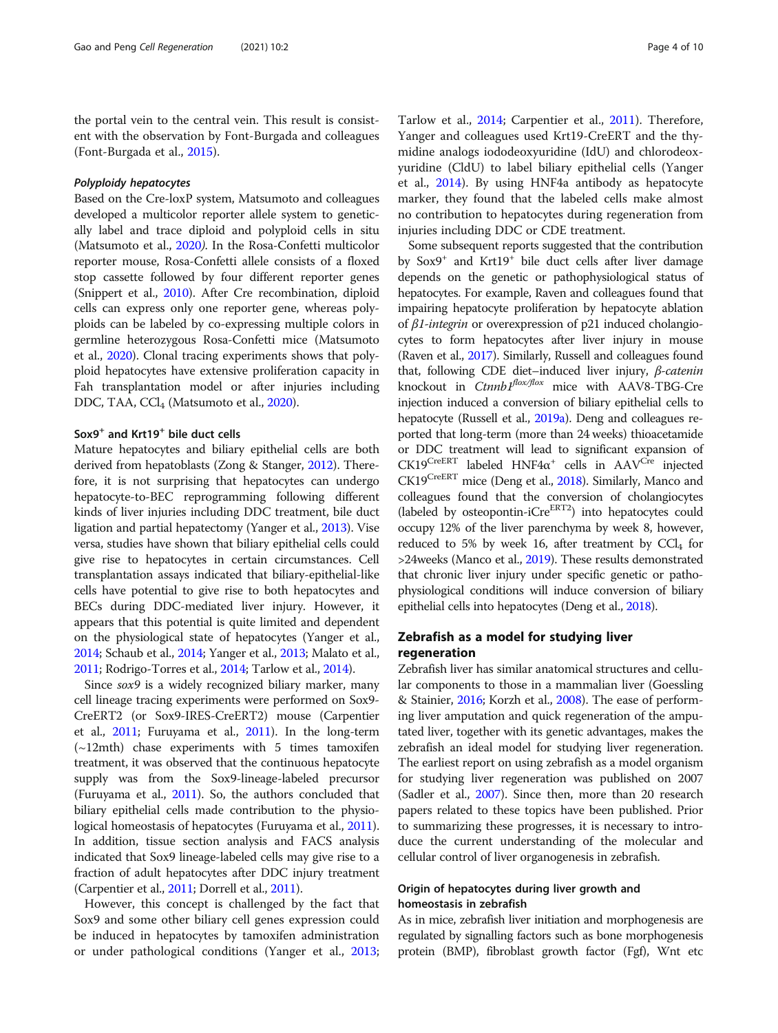the portal vein to the central vein. This result is consistent with the observation by Font-Burgada and colleagues (Font-Burgada et al., [2015](#page-8-0)).

#### Polyploidy hepatocytes

Based on the Cre-loxP system, Matsumoto and colleagues developed a multicolor reporter allele system to genetically label and trace diploid and polyploid cells in situ (Matsumoto et al., [2020](#page-8-0)). In the Rosa-Confetti multicolor reporter mouse, Rosa-Confetti allele consists of a floxed stop cassette followed by four different reporter genes (Snippert et al., [2010](#page-9-0)). After Cre recombination, diploid cells can express only one reporter gene, whereas polyploids can be labeled by co-expressing multiple colors in germline heterozygous Rosa-Confetti mice (Matsumoto et al., [2020](#page-8-0)). Clonal tracing experiments shows that polyploid hepatocytes have extensive proliferation capacity in Fah transplantation model or after injuries including DDC, TAA, CCl<sub>4</sub> (Matsumoto et al., [2020\)](#page-8-0).

#### Sox9<sup>+</sup> and Krt19<sup>+</sup> bile duct cells

Mature hepatocytes and biliary epithelial cells are both derived from hepatoblasts (Zong & Stanger, [2012](#page-9-0)). Therefore, it is not surprising that hepatocytes can undergo hepatocyte-to-BEC reprogramming following different kinds of liver injuries including DDC treatment, bile duct ligation and partial hepatectomy (Yanger et al., [2013](#page-9-0)). Vise versa, studies have shown that biliary epithelial cells could give rise to hepatocytes in certain circumstances. Cell transplantation assays indicated that biliary-epithelial-like cells have potential to give rise to both hepatocytes and BECs during DDC-mediated liver injury. However, it appears that this potential is quite limited and dependent on the physiological state of hepatocytes (Yanger et al., [2014;](#page-9-0) Schaub et al., [2014](#page-8-0); Yanger et al., [2013;](#page-9-0) Malato et al., [2011;](#page-8-0) Rodrigo-Torres et al., [2014](#page-8-0); Tarlow et al., [2014\)](#page-9-0).

Since sox9 is a widely recognized biliary marker, many cell lineage tracing experiments were performed on Sox9- CreERT2 (or Sox9-IRES-CreERT2) mouse (Carpentier et al., [2011](#page-7-0); Furuyama et al., [2011](#page-8-0)). In the long-term (~12mth) chase experiments with 5 times tamoxifen treatment, it was observed that the continuous hepatocyte supply was from the Sox9-lineage-labeled precursor (Furuyama et al., [2011\)](#page-8-0). So, the authors concluded that biliary epithelial cells made contribution to the physio-logical homeostasis of hepatocytes (Furuyama et al., [2011](#page-8-0)). In addition, tissue section analysis and FACS analysis indicated that Sox9 lineage-labeled cells may give rise to a fraction of adult hepatocytes after DDC injury treatment (Carpentier et al., [2011;](#page-7-0) Dorrell et al., [2011\)](#page-7-0).

However, this concept is challenged by the fact that Sox9 and some other biliary cell genes expression could be induced in hepatocytes by tamoxifen administration or under pathological conditions (Yanger et al., [2013](#page-9-0);

Tarlow et al., [2014](#page-9-0); Carpentier et al., [2011](#page-7-0)). Therefore, Yanger and colleagues used Krt19-CreERT and the thymidine analogs iododeoxyuridine (IdU) and chlorodeoxyuridine (CldU) to label biliary epithelial cells (Yanger et al., [2014](#page-9-0)). By using HNF4a antibody as hepatocyte marker, they found that the labeled cells make almost no contribution to hepatocytes during regeneration from injuries including DDC or CDE treatment.

Some subsequent reports suggested that the contribution by Sox9<sup>+</sup> and Krt19<sup>+</sup> bile duct cells after liver damage depends on the genetic or pathophysiological status of hepatocytes. For example, Raven and colleagues found that impairing hepatocyte proliferation by hepatocyte ablation of β1-integrin or overexpression of p21 induced cholangiocytes to form hepatocytes after liver injury in mouse (Raven et al., [2017](#page-8-0)). Similarly, Russell and colleagues found that, following CDE diet–induced liver injury, β-catenin knockout in  $Ctnnb1^{flox/flox}$  mice with AAV8-TBG-Cre injection induced a conversion of biliary epithelial cells to hepatocyte (Russell et al., [2019a\)](#page-8-0). Deng and colleagues reported that long-term (more than 24 weeks) thioacetamide or DDC treatment will lead to significant expansion of  $CK19<sup>CreERT</sup>$  labeled HNF4 $\alpha^{+}$  cells in AAV<sup>Cre</sup> injected CK19CreERT mice (Deng et al., [2018\)](#page-7-0). Similarly, Manco and colleagues found that the conversion of cholangiocytes (labeled by osteopontin-i $Cre<sup>ERT2</sup>$ ) into hepatocytes could occupy 12% of the liver parenchyma by week 8, however, reduced to 5% by week 16, after treatment by  $CCl<sub>4</sub>$  for >24weeks (Manco et al., [2019\)](#page-8-0). These results demonstrated that chronic liver injury under specific genetic or pathophysiological conditions will induce conversion of biliary epithelial cells into hepatocytes (Deng et al., [2018\)](#page-7-0).

#### Zebrafish as a model for studying liver regeneration

Zebrafish liver has similar anatomical structures and cellular components to those in a mammalian liver (Goessling & Stainier, [2016](#page-8-0); Korzh et al., [2008](#page-8-0)). The ease of performing liver amputation and quick regeneration of the amputated liver, together with its genetic advantages, makes the zebrafish an ideal model for studying liver regeneration. The earliest report on using zebrafish as a model organism for studying liver regeneration was published on 2007 (Sadler et al., [2007](#page-8-0)). Since then, more than 20 research papers related to these topics have been published. Prior to summarizing these progresses, it is necessary to introduce the current understanding of the molecular and cellular control of liver organogenesis in zebrafish.

### Origin of hepatocytes during liver growth and homeostasis in zebrafish

As in mice, zebrafish liver initiation and morphogenesis are regulated by signalling factors such as bone morphogenesis protein (BMP), fibroblast growth factor (Fgf), Wnt etc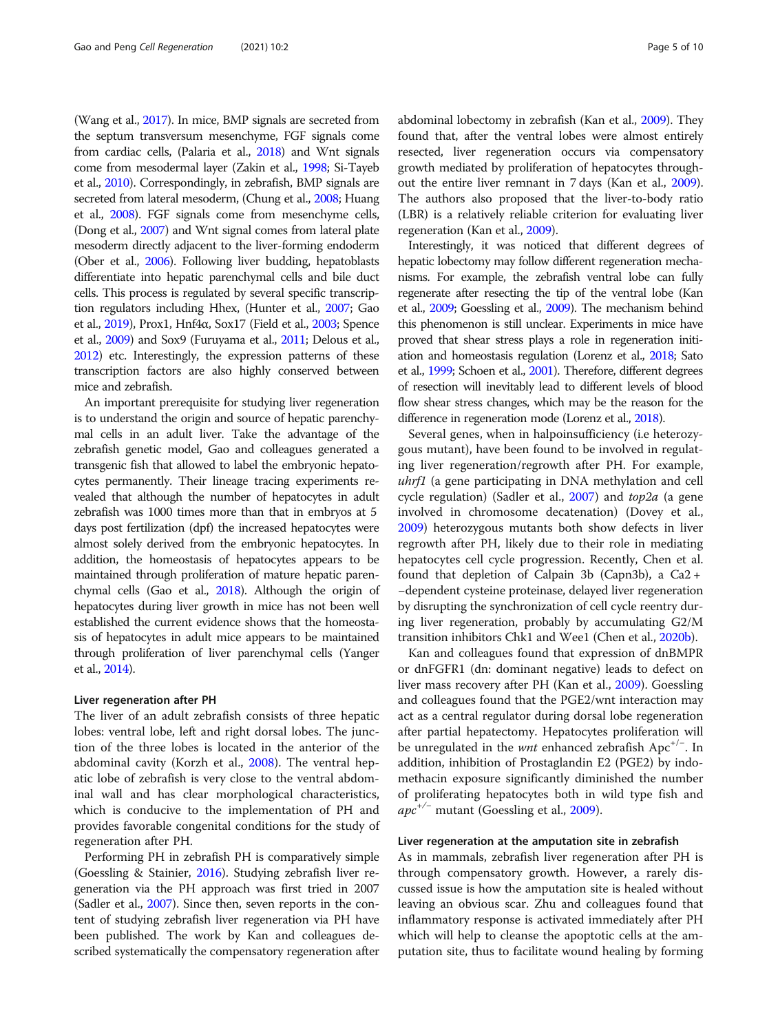(Wang et al., [2017](#page-9-0)). In mice, BMP signals are secreted from the septum transversum mesenchyme, FGF signals come from cardiac cells, (Palaria et al., [2018](#page-8-0)) and Wnt signals come from mesodermal layer (Zakin et al., [1998](#page-9-0); Si-Tayeb et al., [2010](#page-9-0)). Correspondingly, in zebrafish, BMP signals are secreted from lateral mesoderm, (Chung et al., [2008](#page-7-0); Huang et al., [2008](#page-8-0)). FGF signals come from mesenchyme cells, (Dong et al., [2007](#page-7-0)) and Wnt signal comes from lateral plate mesoderm directly adjacent to the liver-forming endoderm (Ober et al., [2006\)](#page-8-0). Following liver budding, hepatoblasts differentiate into hepatic parenchymal cells and bile duct cells. This process is regulated by several specific transcription regulators including Hhex, (Hunter et al., [2007](#page-8-0); Gao et al., [2019\)](#page-8-0), Prox1, Hnf4α, Sox17 (Field et al., [2003;](#page-8-0) Spence et al., [2009\)](#page-9-0) and Sox9 (Furuyama et al., [2011;](#page-8-0) Delous et al., [2012\)](#page-7-0) etc. Interestingly, the expression patterns of these transcription factors are also highly conserved between mice and zebrafish.

An important prerequisite for studying liver regeneration is to understand the origin and source of hepatic parenchymal cells in an adult liver. Take the advantage of the zebrafish genetic model, Gao and colleagues generated a transgenic fish that allowed to label the embryonic hepatocytes permanently. Their lineage tracing experiments revealed that although the number of hepatocytes in adult zebrafish was 1000 times more than that in embryos at 5 days post fertilization (dpf) the increased hepatocytes were almost solely derived from the embryonic hepatocytes. In addition, the homeostasis of hepatocytes appears to be maintained through proliferation of mature hepatic parenchymal cells (Gao et al., [2018](#page-8-0)). Although the origin of hepatocytes during liver growth in mice has not been well established the current evidence shows that the homeostasis of hepatocytes in adult mice appears to be maintained through proliferation of liver parenchymal cells (Yanger et al., [2014\)](#page-9-0).

#### Liver regeneration after PH

The liver of an adult zebrafish consists of three hepatic lobes: ventral lobe, left and right dorsal lobes. The junction of the three lobes is located in the anterior of the abdominal cavity (Korzh et al., [2008](#page-8-0)). The ventral hepatic lobe of zebrafish is very close to the ventral abdominal wall and has clear morphological characteristics, which is conducive to the implementation of PH and provides favorable congenital conditions for the study of regeneration after PH.

Performing PH in zebrafish PH is comparatively simple (Goessling & Stainier, [2016\)](#page-8-0). Studying zebrafish liver regeneration via the PH approach was first tried in 2007 (Sadler et al., [2007\)](#page-8-0). Since then, seven reports in the content of studying zebrafish liver regeneration via PH have been published. The work by Kan and colleagues described systematically the compensatory regeneration after abdominal lobectomy in zebrafish (Kan et al., [2009](#page-8-0)). They found that, after the ventral lobes were almost entirely resected, liver regeneration occurs via compensatory growth mediated by proliferation of hepatocytes throughout the entire liver remnant in 7 days (Kan et al., [2009](#page-8-0)). The authors also proposed that the liver-to-body ratio (LBR) is a relatively reliable criterion for evaluating liver regeneration (Kan et al., [2009](#page-8-0)).

Interestingly, it was noticed that different degrees of hepatic lobectomy may follow different regeneration mechanisms. For example, the zebrafish ventral lobe can fully regenerate after resecting the tip of the ventral lobe (Kan et al., [2009;](#page-8-0) Goessling et al., [2009\)](#page-8-0). The mechanism behind this phenomenon is still unclear. Experiments in mice have proved that shear stress plays a role in regeneration initiation and homeostasis regulation (Lorenz et al., [2018](#page-8-0); Sato et al., [1999](#page-8-0); Schoen et al., [2001\)](#page-8-0). Therefore, different degrees of resection will inevitably lead to different levels of blood flow shear stress changes, which may be the reason for the difference in regeneration mode (Lorenz et al., [2018](#page-8-0)).

Several genes, when in halpoinsufficiency (i.e heterozygous mutant), have been found to be involved in regulating liver regeneration/regrowth after PH. For example, uhrf1 (a gene participating in DNA methylation and cell cycle regulation) (Sadler et al.,  $2007$ ) and  $top2a$  (a gene involved in chromosome decatenation) (Dovey et al., [2009](#page-7-0)) heterozygous mutants both show defects in liver regrowth after PH, likely due to their role in mediating hepatocytes cell cycle progression. Recently, Chen et al. found that depletion of Calpain 3b (Capn3b), a  $Ca2 +$ −dependent cysteine proteinase, delayed liver regeneration by disrupting the synchronization of cell cycle reentry during liver regeneration, probably by accumulating G2/M transition inhibitors Chk1 and Wee1 (Chen et al., [2020b](#page-7-0)).

Kan and colleagues found that expression of dnBMPR or dnFGFR1 (dn: dominant negative) leads to defect on liver mass recovery after PH (Kan et al., [2009\)](#page-8-0). Goessling and colleagues found that the PGE2/wnt interaction may act as a central regulator during dorsal lobe regeneration after partial hepatectomy. Hepatocytes proliferation will be unregulated in the *wnt* enhanced zebrafish Apc<sup>+/-</sup>. In addition, inhibition of Prostaglandin E2 (PGE2) by indomethacin exposure significantly diminished the number of proliferating hepatocytes both in wild type fish and  $apc^{+/-}$  mutant (Goessling et al., [2009](#page-8-0)).

#### Liver regeneration at the amputation site in zebrafish

As in mammals, zebrafish liver regeneration after PH is through compensatory growth. However, a rarely discussed issue is how the amputation site is healed without leaving an obvious scar. Zhu and colleagues found that inflammatory response is activated immediately after PH which will help to cleanse the apoptotic cells at the amputation site, thus to facilitate wound healing by forming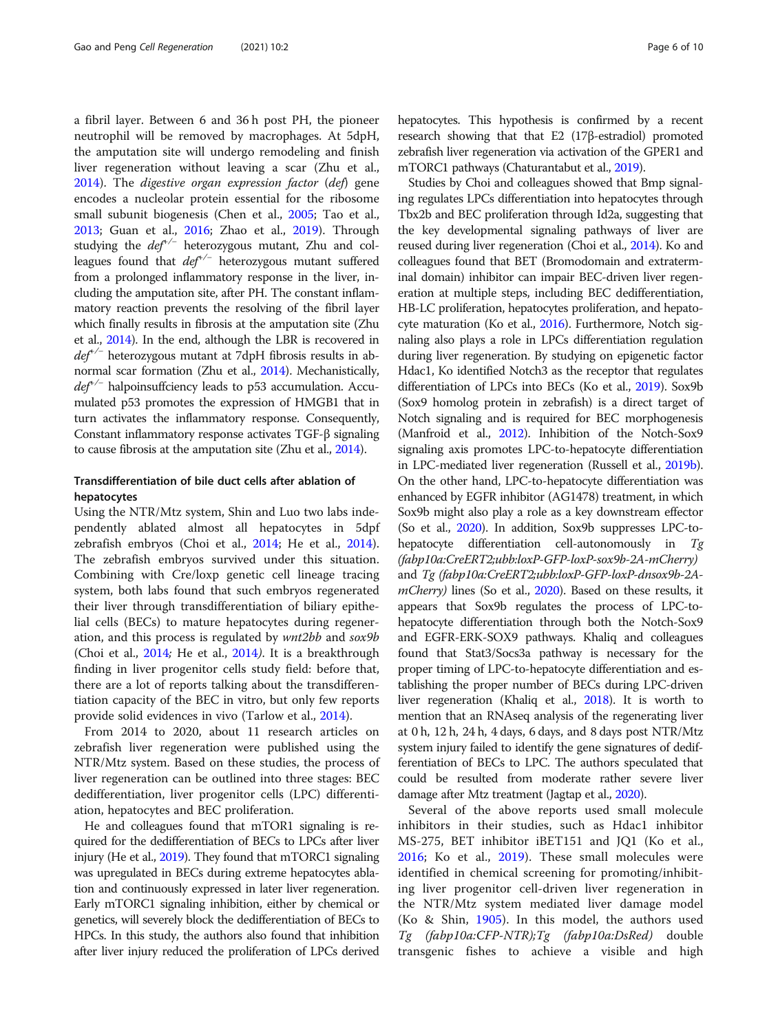a fibril layer. Between 6 and 36 h post PH, the pioneer neutrophil will be removed by macrophages. At 5dpH, the amputation site will undergo remodeling and finish liver regeneration without leaving a scar (Zhu et al., [2014](#page-9-0)). The digestive organ expression factor (def) gene encodes a nucleolar protein essential for the ribosome small subunit biogenesis (Chen et al., [2005](#page-7-0); Tao et al., [2013](#page-9-0); Guan et al., [2016;](#page-8-0) Zhao et al., [2019\)](#page-9-0). Through studying the  $def^{\prime-}$  heterozygous mutant, Zhu and colleagues found that def+/<sup>−</sup> heterozygous mutant suffered from a prolonged inflammatory response in the liver, including the amputation site, after PH. The constant inflammatory reaction prevents the resolving of the fibril layer which finally results in fibrosis at the amputation site (Zhu et al., [2014\)](#page-9-0). In the end, although the LBR is recovered in  $def^{\dagger}$  heterozygous mutant at 7dpH fibrosis results in abnormal scar formation (Zhu et al., [2014](#page-9-0)). Mechanistically,  $de<sup>{+/-}</sup>$  halpoinsuffciency leads to p53 accumulation. Accumulated p53 promotes the expression of HMGB1 that in turn activates the inflammatory response. Consequently, Constant inflammatory response activates TGF-β signaling to cause fibrosis at the amputation site (Zhu et al., [2014\)](#page-9-0).

#### Transdifferentiation of bile duct cells after ablation of hepatocytes

Using the NTR/Mtz system, Shin and Luo two labs independently ablated almost all hepatocytes in 5dpf zebrafish embryos (Choi et al., [2014](#page-7-0); He et al., [2014](#page-8-0)). The zebrafish embryos survived under this situation. Combining with Cre/loxp genetic cell lineage tracing system, both labs found that such embryos regenerated their liver through transdifferentiation of biliary epithelial cells (BECs) to mature hepatocytes during regeneration, and this process is regulated by wnt2bb and sox9b (Choi et al., [2014](#page-7-0); He et al., [2014](#page-8-0)). It is a breakthrough finding in liver progenitor cells study field: before that, there are a lot of reports talking about the transdifferentiation capacity of the BEC in vitro, but only few reports provide solid evidences in vivo (Tarlow et al., [2014\)](#page-9-0).

From 2014 to 2020, about 11 research articles on zebrafish liver regeneration were published using the NTR/Mtz system. Based on these studies, the process of liver regeneration can be outlined into three stages: BEC dedifferentiation, liver progenitor cells (LPC) differentiation, hepatocytes and BEC proliferation.

He and colleagues found that mTOR1 signaling is required for the dedifferentiation of BECs to LPCs after liver injury (He et al., [2019\)](#page-8-0). They found that mTORC1 signaling was upregulated in BECs during extreme hepatocytes ablation and continuously expressed in later liver regeneration. Early mTORC1 signaling inhibition, either by chemical or genetics, will severely block the dedifferentiation of BECs to HPCs. In this study, the authors also found that inhibition after liver injury reduced the proliferation of LPCs derived hepatocytes. This hypothesis is confirmed by a recent research showing that that E2 (17β-estradiol) promoted zebrafish liver regeneration via activation of the GPER1 and mTORC1 pathways (Chaturantabut et al., [2019](#page-7-0)).

Studies by Choi and colleagues showed that Bmp signaling regulates LPCs differentiation into hepatocytes through Tbx2b and BEC proliferation through Id2a, suggesting that the key developmental signaling pathways of liver are reused during liver regeneration (Choi et al., [2014\)](#page-7-0). Ko and colleagues found that BET (Bromodomain and extraterminal domain) inhibitor can impair BEC-driven liver regeneration at multiple steps, including BEC dedifferentiation, HB-LC proliferation, hepatocytes proliferation, and hepato-cyte maturation (Ko et al., [2016](#page-8-0)). Furthermore, Notch signaling also plays a role in LPCs differentiation regulation during liver regeneration. By studying on epigenetic factor Hdac1, Ko identified Notch3 as the receptor that regulates differentiation of LPCs into BECs (Ko et al., [2019\)](#page-8-0). Sox9b (Sox9 homolog protein in zebrafish) is a direct target of Notch signaling and is required for BEC morphogenesis (Manfroid et al., [2012](#page-8-0)). Inhibition of the Notch-Sox9 signaling axis promotes LPC-to-hepatocyte differentiation in LPC-mediated liver regeneration (Russell et al., [2019b](#page-8-0)). On the other hand, LPC-to-hepatocyte differentiation was enhanced by EGFR inhibitor (AG1478) treatment, in which Sox9b might also play a role as a key downstream effector (So et al., [2020\)](#page-9-0). In addition, Sox9b suppresses LPC-tohepatocyte differentiation cell-autonomously in Tg (fabp10a:CreERT2;ubb:loxP-GFP-loxP-sox9b-2A-mCherry) and Tg (fabp10a:CreERT2;ubb:loxP-GFP-loxP-dnsox9b-2A-mCherry) lines (So et al., [2020](#page-9-0)). Based on these results, it appears that Sox9b regulates the process of LPC-tohepatocyte differentiation through both the Notch-Sox9 and EGFR-ERK-SOX9 pathways. Khaliq and colleagues found that Stat3/Socs3a pathway is necessary for the proper timing of LPC-to-hepatocyte differentiation and establishing the proper number of BECs during LPC-driven liver regeneration (Khaliq et al., [2018](#page-8-0)). It is worth to mention that an RNAseq analysis of the regenerating liver at 0 h, 12 h, 24 h, 4 days, 6 days, and 8 days post NTR/Mtz system injury failed to identify the gene signatures of dedifferentiation of BECs to LPC. The authors speculated that could be resulted from moderate rather severe liver damage after Mtz treatment (Jagtap et al., [2020](#page-8-0)).

Several of the above reports used small molecule inhibitors in their studies, such as Hdac1 inhibitor MS-275, BET inhibitor iBET151 and JQ1 (Ko et al., [2016;](#page-8-0) Ko et al., [2019\)](#page-8-0). These small molecules were identified in chemical screening for promoting/inhibiting liver progenitor cell-driven liver regeneration in the NTR/Mtz system mediated liver damage model (Ko & Shin, [1905](#page-8-0)). In this model, the authors used Tg (fabp10a:CFP-NTR);Tg (fabp10a:DsRed) double transgenic fishes to achieve a visible and high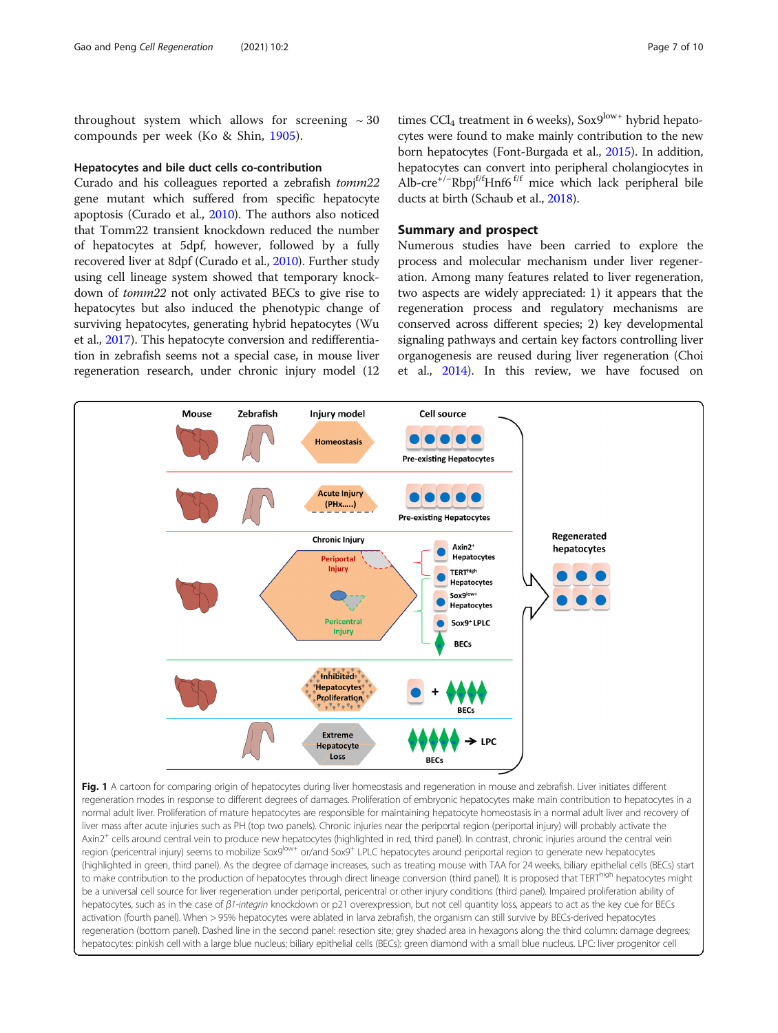<span id="page-6-0"></span>throughout system which allows for screening  $\sim$  30 compounds per week (Ko & Shin, [1905](#page-8-0)).

#### Hepatocytes and bile duct cells co-contribution

**Mouse** 

Curado and his colleagues reported a zebrafish tomm22 gene mutant which suffered from specific hepatocyte apoptosis (Curado et al., [2010](#page-7-0)). The authors also noticed that Tomm22 transient knockdown reduced the number of hepatocytes at 5dpf, however, followed by a fully recovered liver at 8dpf (Curado et al., [2010](#page-7-0)). Further study using cell lineage system showed that temporary knockdown of tomm22 not only activated BECs to give rise to hepatocytes but also induced the phenotypic change of surviving hepatocytes, generating hybrid hepatocytes (Wu et al., [2017\)](#page-9-0). This hepatocyte conversion and redifferentiation in zebrafish seems not a special case, in mouse liver regeneration research, under chronic injury model (12

Zebrafish

**Injury model** 

**Homeostasis** 

times  $CCl_4$  treatment in 6 weeks), Sox9 $^{low+}$  hybrid hepatocytes were found to make mainly contribution to the new born hepatocytes (Font-Burgada et al., [2015](#page-8-0)). In addition, hepatocytes can convert into peripheral cholangiocytes in Alb-cre<sup>+/-</sup>Rbpj<sup>f/f</sup>Hnf6<sup>f/f</sup> mice which lack peripheral bile ducts at birth (Schaub et al., [2018](#page-8-0)).

#### Summary and prospect

**Cell source** 

**ODO** 

Numerous studies have been carried to explore the process and molecular mechanism under liver regeneration. Among many features related to liver regeneration, two aspects are widely appreciated: 1) it appears that the regeneration process and regulatory mechanisms are conserved across different species; 2) key developmental signaling pathways and certain key factors controlling liver organogenesis are reused during liver regeneration (Choi et al., [2014\)](#page-7-0). In this review, we have focused on

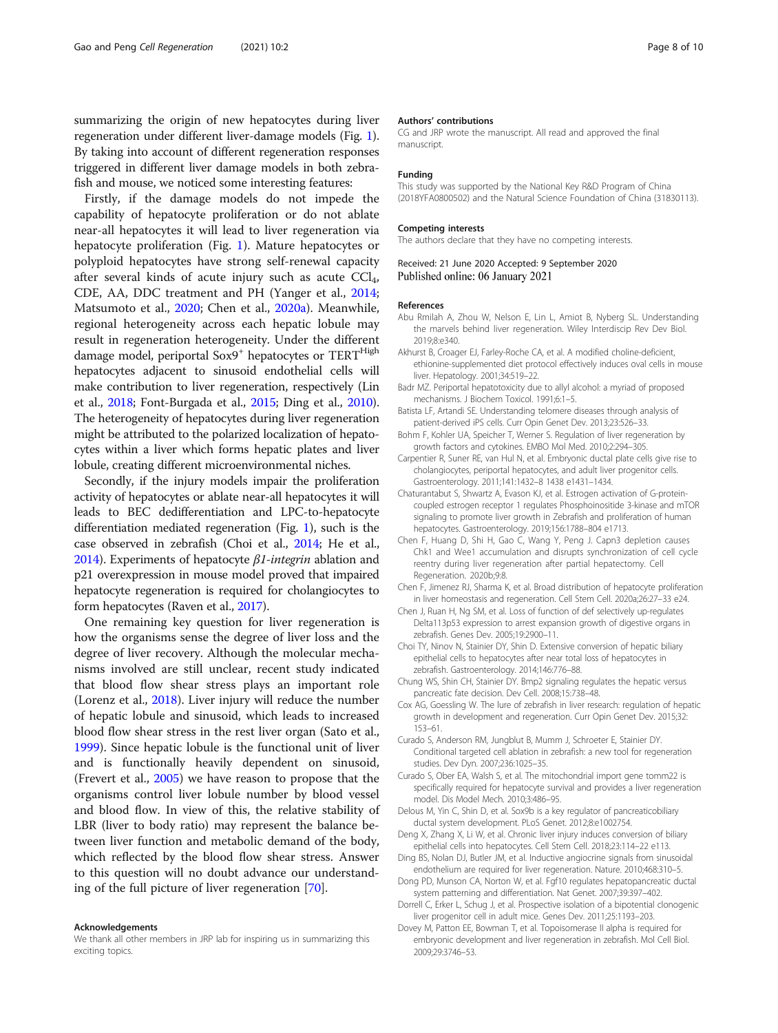<span id="page-7-0"></span>summarizing the origin of new hepatocytes during liver regeneration under different liver-damage models (Fig. [1](#page-6-0)). By taking into account of different regeneration responses triggered in different liver damage models in both zebrafish and mouse, we noticed some interesting features:

Firstly, if the damage models do not impede the capability of hepatocyte proliferation or do not ablate near-all hepatocytes it will lead to liver regeneration via hepatocyte proliferation (Fig. [1](#page-6-0)). Mature hepatocytes or polyploid hepatocytes have strong self-renewal capacity after several kinds of acute injury such as acute  $\text{CCI}_4$ , CDE, AA, DDC treatment and PH (Yanger et al., [2014](#page-9-0); Matsumoto et al., [2020](#page-8-0); Chen et al., 2020a). Meanwhile, regional heterogeneity across each hepatic lobule may result in regeneration heterogeneity. Under the different damage model, periportal Sox9<sup>+</sup> hepatocytes or TERT<sup>High</sup> hepatocytes adjacent to sinusoid endothelial cells will make contribution to liver regeneration, respectively (Lin et al., [2018;](#page-8-0) Font-Burgada et al., [2015](#page-8-0); Ding et al., 2010). The heterogeneity of hepatocytes during liver regeneration might be attributed to the polarized localization of hepatocytes within a liver which forms hepatic plates and liver lobule, creating different microenvironmental niches.

Secondly, if the injury models impair the proliferation activity of hepatocytes or ablate near-all hepatocytes it will leads to BEC dedifferentiation and LPC-to-hepatocyte differentiation mediated regeneration (Fig. [1](#page-6-0)), such is the case observed in zebrafish (Choi et al., 2014; He et al., [2014\)](#page-8-0). Experiments of hepatocyte  $\beta$ 1-integrin ablation and p21 overexpression in mouse model proved that impaired hepatocyte regeneration is required for cholangiocytes to form hepatocytes (Raven et al., [2017](#page-8-0)).

One remaining key question for liver regeneration is how the organisms sense the degree of liver loss and the degree of liver recovery. Although the molecular mechanisms involved are still unclear, recent study indicated that blood flow shear stress plays an important role (Lorenz et al., [2018\)](#page-8-0). Liver injury will reduce the number of hepatic lobule and sinusoid, which leads to increased blood flow shear stress in the rest liver organ (Sato et al., [1999](#page-8-0)). Since hepatic lobule is the functional unit of liver and is functionally heavily dependent on sinusoid, (Frevert et al., [2005](#page-8-0)) we have reason to propose that the organisms control liver lobule number by blood vessel and blood flow. In view of this, the relative stability of LBR (liver to body ratio) may represent the balance between liver function and metabolic demand of the body, which reflected by the blood flow shear stress. Answer to this question will no doubt advance our understanding of the full picture of liver regeneration [[70\]](#page-8-0).

#### Acknowledgements

We thank all other members in JRP lab for inspiring us in summarizing this exciting topics.

#### Authors' contributions

CG and JRP wrote the manuscript. All read and approved the final manuscript.

#### Funding

This study was supported by the National Key R&D Program of China (2018YFA0800502) and the Natural Science Foundation of China (31830113).

#### Competing interests

The authors declare that they have no competing interests.

Received: 21 June 2020 Accepted: 9 September 2020 Published online: 06 January 2021

#### References

- Abu Rmilah A, Zhou W, Nelson E, Lin L, Amiot B, Nyberg SL. Understanding the marvels behind liver regeneration. Wiley Interdiscip Rev Dev Biol. 2019;8:e340.
- Akhurst B, Croager EJ, Farley-Roche CA, et al. A modified choline-deficient, ethionine-supplemented diet protocol effectively induces oval cells in mouse liver. Hepatology. 2001;34:519–22.
- Badr MZ. Periportal hepatotoxicity due to allyl alcohol: a myriad of proposed mechanisms. J Biochem Toxicol. 1991;6:1–5.
- Batista LF, Artandi SE. Understanding telomere diseases through analysis of patient-derived iPS cells. Curr Opin Genet Dev. 2013;23:526–33.
- Bohm F, Kohler UA, Speicher T, Werner S. Regulation of liver regeneration by growth factors and cytokines. EMBO Mol Med. 2010;2:294–305.
- Carpentier R, Suner RE, van Hul N, et al. Embryonic ductal plate cells give rise to cholangiocytes, periportal hepatocytes, and adult liver progenitor cells. Gastroenterology. 2011;141:1432–8 1438 e1431–1434.
- Chaturantabut S, Shwartz A, Evason KJ, et al. Estrogen activation of G-proteincoupled estrogen receptor 1 regulates Phosphoinositide 3-kinase and mTOR signaling to promote liver growth in Zebrafish and proliferation of human hepatocytes. Gastroenterology. 2019;156:1788–804 e1713.
- Chen F, Huang D, Shi H, Gao C, Wang Y, Peng J. Capn3 depletion causes Chk1 and Wee1 accumulation and disrupts synchronization of cell cycle reentry during liver regeneration after partial hepatectomy. Cell Regeneration. 2020b;9:8.
- Chen F, Jimenez RJ, Sharma K, et al. Broad distribution of hepatocyte proliferation in liver homeostasis and regeneration. Cell Stem Cell. 2020a;26:27–33 e24.
- Chen J, Ruan H, Ng SM, et al. Loss of function of def selectively up-regulates Delta113p53 expression to arrest expansion growth of digestive organs in zebrafish. Genes Dev. 2005;19:2900–11.
- Choi TY, Ninov N, Stainier DY, Shin D. Extensive conversion of hepatic biliary epithelial cells to hepatocytes after near total loss of hepatocytes in zebrafish. Gastroenterology. 2014;146:776–88.
- Chung WS, Shin CH, Stainier DY. Bmp2 signaling regulates the hepatic versus pancreatic fate decision. Dev Cell. 2008;15:738–48.
- Cox AG, Goessling W. The lure of zebrafish in liver research: regulation of hepatic growth in development and regeneration. Curr Opin Genet Dev. 2015;32: 153–61.
- Curado S, Anderson RM, Jungblut B, Mumm J, Schroeter E, Stainier DY. Conditional targeted cell ablation in zebrafish: a new tool for regeneration studies. Dev Dyn. 2007;236:1025–35.
- Curado S, Ober EA, Walsh S, et al. The mitochondrial import gene tomm22 is specifically required for hepatocyte survival and provides a liver regeneration model. Dis Model Mech. 2010;3:486–95.
- Delous M, Yin C, Shin D, et al. Sox9b is a key regulator of pancreaticobiliary ductal system development. PLoS Genet. 2012;8:e1002754.
- Deng X, Zhang X, Li W, et al. Chronic liver injury induces conversion of biliary epithelial cells into hepatocytes. Cell Stem Cell. 2018;23:114–22 e113.
- Ding BS, Nolan DJ, Butler JM, et al. Inductive angiocrine signals from sinusoidal endothelium are required for liver regeneration. Nature. 2010;468:310–5.
- Dong PD, Munson CA, Norton W, et al. Fgf10 regulates hepatopancreatic ductal system patterning and differentiation. Nat Genet. 2007;39:397–402.
- Dorrell C, Erker L, Schug J, et al. Prospective isolation of a bipotential clonogenic liver progenitor cell in adult mice. Genes Dev. 2011;25:1193–203.
- Dovey M, Patton EE, Bowman T, et al. Topoisomerase II alpha is required for embryonic development and liver regeneration in zebrafish. Mol Cell Biol. 2009;29:3746–53.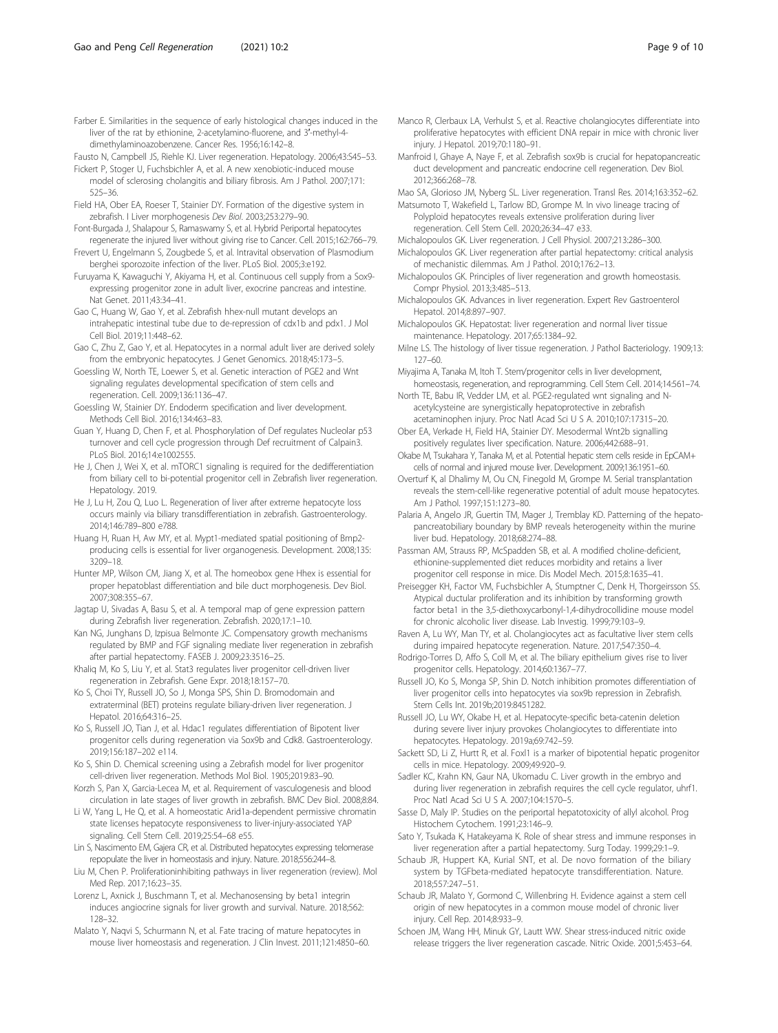<span id="page-8-0"></span>Fausto N, Campbell JS, Riehle KJ. Liver regeneration. Hepatology. 2006;43:S45–53.

- Fickert P, Stoger U, Fuchsbichler A, et al. A new xenobiotic-induced mouse model of sclerosing cholangitis and biliary fibrosis. Am J Pathol. 2007;171: 525–36.
- Field HA, Ober EA, Roeser T, Stainier DY. Formation of the digestive system in zebrafish. I Liver morphogenesis Dev Biol. 2003;253:279–90.
- Font-Burgada J, Shalapour S, Ramaswamy S, et al. Hybrid Periportal hepatocytes regenerate the injured liver without giving rise to Cancer. Cell. 2015;162:766–79.
- Frevert U, Engelmann S, Zougbede S, et al. Intravital observation of Plasmodium berghei sporozoite infection of the liver. PLoS Biol. 2005;3:e192.
- Furuyama K, Kawaguchi Y, Akiyama H, et al. Continuous cell supply from a Sox9 expressing progenitor zone in adult liver, exocrine pancreas and intestine. Nat Genet. 2011;43:34–41.
- Gao C, Huang W, Gao Y, et al. Zebrafish hhex-null mutant develops an intrahepatic intestinal tube due to de-repression of cdx1b and pdx1. J Mol Cell Biol. 2019;11:448–62.
- Gao C, Zhu Z, Gao Y, et al. Hepatocytes in a normal adult liver are derived solely from the embryonic hepatocytes. J Genet Genomics. 2018;45:173–5.
- Goessling W, North TE, Loewer S, et al. Genetic interaction of PGE2 and Wnt signaling regulates developmental specification of stem cells and regeneration. Cell. 2009;136:1136–47.
- Goessling W, Stainier DY. Endoderm specification and liver development. Methods Cell Biol. 2016;134:463–83.
- Guan Y, Huang D, Chen F, et al. Phosphorylation of Def regulates Nucleolar p53 turnover and cell cycle progression through Def recruitment of Calpain3. PLoS Biol. 2016;14:e1002555.
- He J, Chen J, Wei X, et al. mTORC1 signaling is required for the dedifferentiation from biliary cell to bi-potential progenitor cell in Zebrafish liver regeneration. Hepatology. 2019.
- He J, Lu H, Zou Q, Luo L. Regeneration of liver after extreme hepatocyte loss occurs mainly via biliary transdifferentiation in zebrafish. Gastroenterology. 2014;146:789–800 e788.
- Huang H, Ruan H, Aw MY, et al. Mypt1-mediated spatial positioning of Bmp2 producing cells is essential for liver organogenesis. Development. 2008;135: 3209–18.
- Hunter MP, Wilson CM, Jiang X, et al. The homeobox gene Hhex is essential for proper hepatoblast differentiation and bile duct morphogenesis. Dev Biol. 2007;308:355–67.
- Jagtap U, Sivadas A, Basu S, et al. A temporal map of gene expression pattern during Zebrafish liver regeneration. Zebrafish. 2020;17:1–10.
- Kan NG, Junghans D, Izpisua Belmonte JC. Compensatory growth mechanisms regulated by BMP and FGF signaling mediate liver regeneration in zebrafish after partial hepatectomy. FASEB J. 2009;23:3516–25.
- Khaliq M, Ko S, Liu Y, et al. Stat3 regulates liver progenitor cell-driven liver regeneration in Zebrafish. Gene Expr. 2018;18:157–70.
- Ko S, Choi TY, Russell JO, So J, Monga SPS, Shin D. Bromodomain and extraterminal (BET) proteins regulate biliary-driven liver regeneration. J Hepatol. 2016;64:316–25.
- Ko S, Russell JO, Tian J, et al. Hdac1 regulates differentiation of Bipotent liver progenitor cells during regeneration via Sox9b and Cdk8. Gastroenterology. 2019;156:187–202 e114.
- Ko S, Shin D. Chemical screening using a Zebrafish model for liver progenitor cell-driven liver regeneration. Methods Mol Biol. 1905;2019:83–90.
- Korzh S, Pan X, Garcia-Lecea M, et al. Requirement of vasculogenesis and blood circulation in late stages of liver growth in zebrafish. BMC Dev Biol. 2008;8:84.
- Li W, Yang L, He Q, et al. A homeostatic Arid1a-dependent permissive chromatin state licenses hepatocyte responsiveness to liver-injury-associated YAP signaling. Cell Stem Cell. 2019;25:54–68 e55.
- Lin S, Nascimento EM, Gajera CR, et al. Distributed hepatocytes expressing telomerase repopulate the liver in homeostasis and injury. Nature. 2018;556:244–8.
- Liu M, Chen P. Proliferationinhibiting pathways in liver regeneration (review). Mol Med Rep. 2017;16:23–35.
- Lorenz L, Axnick J, Buschmann T, et al. Mechanosensing by beta1 integrin induces angiocrine signals for liver growth and survival. Nature. 2018;562: 128–32.
- Malato Y, Naqvi S, Schurmann N, et al. Fate tracing of mature hepatocytes in mouse liver homeostasis and regeneration. J Clin Invest. 2011;121:4850–60.
- Manco R, Clerbaux LA, Verhulst S, et al. Reactive cholangiocytes differentiate into proliferative hepatocytes with efficient DNA repair in mice with chronic liver injury. J Hepatol. 2019;70:1180–91.
- Manfroid I, Ghaye A, Naye F, et al. Zebrafish sox9b is crucial for hepatopancreatic duct development and pancreatic endocrine cell regeneration. Dev Biol. 2012;366:268–78.

Mao SA, Glorioso JM, Nyberg SL. Liver regeneration. Transl Res. 2014;163:352–62.

- Matsumoto T, Wakefield L, Tarlow BD, Grompe M. In vivo lineage tracing of Polyploid hepatocytes reveals extensive proliferation during liver regeneration. Cell Stem Cell. 2020;26:34–47 e33.
- Michalopoulos GK. Liver regeneration. J Cell Physiol. 2007;213:286–300.
- Michalopoulos GK. Liver regeneration after partial hepatectomy: critical analysis of mechanistic dilemmas. Am J Pathol. 2010;176:2–13.
- Michalopoulos GK. Principles of liver regeneration and growth homeostasis. Compr Physiol. 2013;3:485–513.
- Michalopoulos GK. Advances in liver regeneration. Expert Rev Gastroenterol Hepatol. 2014;8:897–907.
- Michalopoulos GK. Hepatostat: liver regeneration and normal liver tissue maintenance. Hepatology. 2017;65:1384–92.
- Milne LS. The histology of liver tissue regeneration. J Pathol Bacteriology. 1909;13: 127–60.
- Miyajima A, Tanaka M, Itoh T. Stem/progenitor cells in liver development, homeostasis, regeneration, and reprogramming. Cell Stem Cell. 2014;14:561–74.
- North TE, Babu IR, Vedder LM, et al. PGE2-regulated wnt signaling and Nacetylcysteine are synergistically hepatoprotective in zebrafish acetaminophen injury. Proc Natl Acad Sci U S A. 2010;107:17315–20.
- Ober EA, Verkade H, Field HA, Stainier DY. Mesodermal Wnt2b signalling positively regulates liver specification. Nature. 2006;442:688–91.
- Okabe M, Tsukahara Y, Tanaka M, et al. Potential hepatic stem cells reside in EpCAM+ cells of normal and injured mouse liver. Development. 2009;136:1951–60.
- Overturf K, al Dhalimy M, Ou CN, Finegold M, Grompe M. Serial transplantation reveals the stem-cell-like regenerative potential of adult mouse hepatocytes. Am J Pathol. 1997;151:1273–80.
- Palaria A, Angelo JR, Guertin TM, Mager J, Tremblay KD. Patterning of the hepatopancreatobiliary boundary by BMP reveals heterogeneity within the murine liver bud. Hepatology. 2018;68:274–88.
- Passman AM, Strauss RP, McSpadden SB, et al. A modified choline-deficient, ethionine-supplemented diet reduces morbidity and retains a liver progenitor cell response in mice. Dis Model Mech. 2015;8:1635–41.
- Preisegger KH, Factor VM, Fuchsbichler A, Stumptner C, Denk H, Thorgeirsson SS. Atypical ductular proliferation and its inhibition by transforming growth factor beta1 in the 3,5-diethoxycarbonyl-1,4-dihydrocollidine mouse model for chronic alcoholic liver disease. Lab Investig. 1999;79:103–9.
- Raven A, Lu WY, Man TY, et al. Cholangiocytes act as facultative liver stem cells during impaired hepatocyte regeneration. Nature. 2017;547:350–4.
- Rodrigo-Torres D, Affo S, Coll M, et al. The biliary epithelium gives rise to liver progenitor cells. Hepatology. 2014;60:1367–77.
- Russell JO, Ko S, Monga SP, Shin D. Notch inhibition promotes differentiation of liver progenitor cells into hepatocytes via sox9b repression in Zebrafish. Stem Cells Int. 2019b;2019:8451282.
- Russell JO, Lu WY, Okabe H, et al. Hepatocyte-specific beta-catenin deletion during severe liver injury provokes Cholangiocytes to differentiate into hepatocytes. Hepatology. 2019a;69:742–59.
- Sackett SD, Li Z, Hurtt R, et al. Foxl1 is a marker of bipotential hepatic progenitor cells in mice. Hepatology. 2009;49:920–9.
- Sadler KC, Krahn KN, Gaur NA, Ukomadu C. Liver growth in the embryo and during liver regeneration in zebrafish requires the cell cycle regulator, uhrf1. Proc Natl Acad Sci U S A. 2007;104:1570–5.
- Sasse D, Maly IP. Studies on the periportal hepatotoxicity of allyl alcohol. Prog Histochem Cytochem. 1991;23:146–9.
- Sato Y, Tsukada K, Hatakeyama K. Role of shear stress and immune responses in liver regeneration after a partial hepatectomy. Surg Today. 1999;29:1–9.
- Schaub JR, Huppert KA, Kurial SNT, et al. De novo formation of the biliary system by TGFbeta-mediated hepatocyte transdifferentiation. Nature. 2018;557:247–51.
- Schaub JR, Malato Y, Gormond C, Willenbring H. Evidence against a stem cell origin of new hepatocytes in a common mouse model of chronic liver injury. Cell Rep. 2014;8:933–9.
- Schoen JM, Wang HH, Minuk GY, Lautt WW. Shear stress-induced nitric oxide release triggers the liver regeneration cascade. Nitric Oxide. 2001;5:453–64.